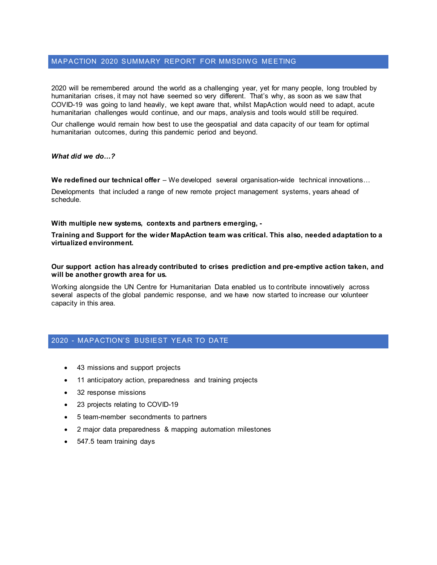# MAPACTION 2020 SUMMARY REPORT FOR MMSDIWG MEETING

2020 will be remembered around the world as a challenging year, yet for many people, long troubled by humanitarian crises, it may not have seemed so very different. That's why, as soon as we saw that COVID-19 was going to land heavily, we kept aware that, whilst MapAction would need to adapt, acute humanitarian challenges would continue, and our maps, analysis and tools would still be required.

Our challenge would remain how best to use the geospatial and data capacity of our team for optimal humanitarian outcomes, during this pandemic period and beyond.

*What did we do…?*

We redefined our technical offer – We developed several organisation-wide technical innovations...

Developments that included a range of new remote project management systems, years ahead of schedule.

**With multiple new systems, contexts and partners emerging, -**

**Training and Support for the wider MapAction team was critical. This also, needed adaptation to a virtualized environment.** 

**Our support action has already contributed to crises prediction and pre-emptive action taken, and will be another growth area for us.**

Working alongside the UN Centre for Humanitarian Data enabled us to contribute innovatively across several aspects of the global pandemic response, and we have now started to increase our volunteer capacity in this area.

## 2020 - MAPACTION'S BUSIEST YEAR TO DATE

- 43 missions and support projects
- 11 anticipatory action, preparedness and training projects
- 32 response missions
- 23 projects relating to COVID-19
- 5 team-member secondments to partners
- 2 major data preparedness & mapping automation milestones
- 547.5 team training days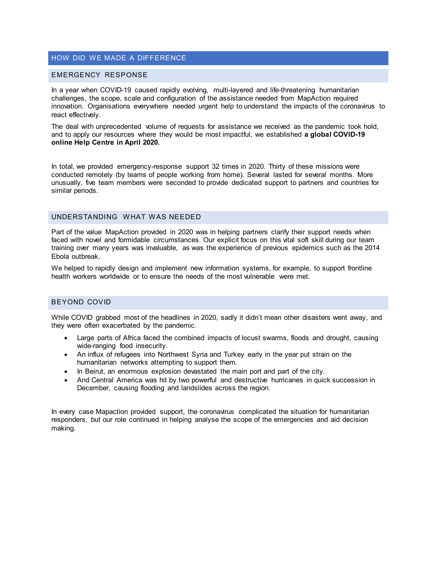### HOW DID WE MADE A DIFFERENCE

#### EMERGENCY RESPONSE

In a year when COVID-19 caused rapidly evolving, multi-layered and life-threatening humanitarian challenges, the scope, scale and configuration of the assistance needed from MapAction required innovation. Organisations everywhere needed urgent help to understand the impacts of the coronavirus to react effectively.

The deal with unprecedented volume of requests for assistance we received as the pandemic took hold, and to apply our resources where they would be most impactful, we established **a global COVID-19 online Help Centre in April 2020.**

In total, we provided emergency-response support 32 times in 2020. Thirty of these missions were conducted remotely (by teams of people working from home). Several lasted for several months. More unusually, five team members were seconded to provide dedicated support to partners and countries for similar periods.

### UNDERSTANDING WHAT WAS NEEDED

Part of the value MapAction provided in 2020 was in helping partners clarify their support needs when faced with novel and formidable circumstances. Our explicit focus on this vital soft skill during our team training over many years was invaluable, as was the experience of previous epidemics such as the 2014 Ebola outbreak.

We helped to rapidly design and implement new information systems, for example, to support frontline health workers worldwide or to ensure the needs of the most vulnerable were met.

### BEYOND COVID

While COVID grabbed most of the headlines in 2020, sadly it didn't mean other disasters went away, and they were often exacerbated by the pandemic.

- Large parts of Africa faced the combined impacts of locust swarms, floods and drought, causing wide-ranging food insecurity.
- An influx of refugees into Northwest Syria and Turkey early in the year put strain on the humanitarian networks attempting to support them.
- In Beirut, an enormous explosion devastated the main port and part of the city.
- And Central America was hit by two powerful and destructive hurricanes in quick succession in December, causing flooding and landslides across the region.

In every case Mapaction provided support, the coronavirus complicated the situation for humanitarian responders, but our role continued in helping analyse the scope of the emergencies and aid decision making.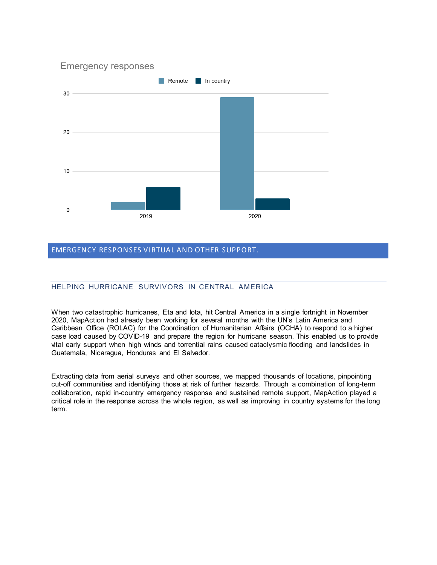

# EMERGENCY RESPONSES VIRTUAL AND OTHER SUPPORT.

# HELPING HURRICANE SURVIVORS IN CENTRAL AMERICA

When two catastrophic hurricanes, Eta and Iota, hit Central America in a single fortnight in November 2020, MapAction had already been working for several months with the UN's Latin America and Caribbean Office (ROLAC) for the Coordination of Humanitarian Affairs (OCHA) to respond to a higher case load caused by COVID-19 and prepare the region for hurricane season. This enabled us to provide vital early support when high winds and torrential rains caused cataclysmic flooding and landslides in Guatemala, Nicaragua, Honduras and El Salvador.

Extracting data from aerial surveys and other sources, we mapped thousands of locations, pinpointing cut-off communities and identifying those at risk of further hazards. Through a combination of long-term collaboration, rapid in-country emergency response and sustained remote support, MapAction played a critical role in the response across the whole region, as well as improving in country systems for the long term.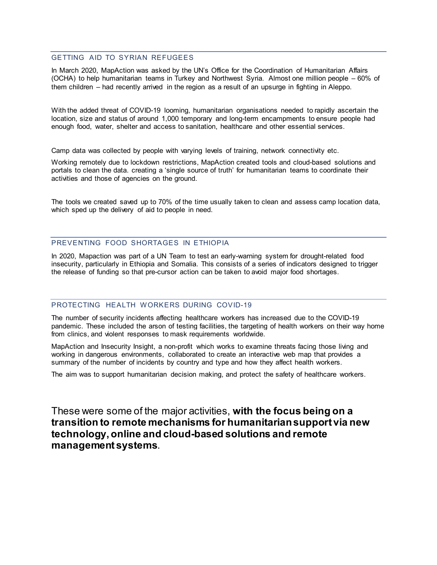#### GETTING AID TO SYRIAN REFUGEES

In March 2020, MapAction was asked by the UN's Office for the Coordination of Humanitarian Affairs (OCHA) to help humanitarian teams in Turkey and Northwest Syria. Almost one million people – 60% of them children – had recently arrived in the region as a result of an upsurge in fighting in Aleppo.

With the added threat of COVID-19 looming, humanitarian organisations needed to rapidly ascertain the location, size and status of around 1,000 temporary and long-term encampments to ensure people had enough food, water, shelter and access to sanitation, healthcare and other essential services.

Camp data was collected by people with varying levels of training, network connectivity etc.

Working remotely due to lockdown restrictions, MapAction created tools and cloud-based solutions and portals to clean the data. creating a 'single source of truth' for humanitarian teams to coordinate their activities and those of agencies on the ground.

The tools we created saved up to 70% of the time usually taken to clean and assess camp location data, which sped up the delivery of aid to people in need.

## PREVENTING FOOD SHORTAGES IN ETHIOPIA

In 2020, Mapaction was part of a UN Team to test an early-warning system for drought-related food insecurity, particularly in Ethiopia and Somalia. This consists of a series of indicators designed to trigger the release of funding so that pre-cursor action can be taken to avoid major food shortages.

### PROTECTING HEALTH WORKERS DURING COVID-19

The number of security incidents affecting healthcare workers has increased due to the COVID-19 pandemic. These included the arson of testing facilities, the targeting of health workers on their way home from clinics, and violent responses to mask requirements worldwide.

MapAction and Insecurity Insight, a non-profit which works to examine threats facing those living and working in dangerous environments, collaborated to create an interactive web map that provides a summary of the number of incidents by country and type and how they affect health workers.

The aim was to support humanitarian decision making, and protect the safety of healthcare workers.

These were some of the major activities, **with the focus being on a transition to remote mechanisms for humanitarian support via new technology, online and cloud-based solutions and remote management systems**.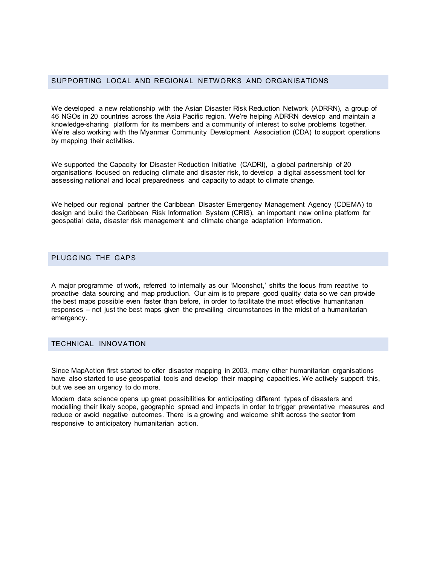## SUPPORTING LOCAL AND REGIONAL NETWORKS AND ORGANISATIONS

We developed a new relationship with the Asian Disaster Risk Reduction Network (ADRRN), a group of 46 NGOs in 20 countries across the Asia Pacific region. We're helping ADRRN develop and maintain a knowledge-sharing platform for its members and a community of interest to solve problems together. We're also working with the Myanmar Community Development Association (CDA) to support operations by mapping their activities.

We supported the Capacity for Disaster Reduction Initiative (CADRI), a global partnership of 20 organisations focused on reducing climate and disaster risk, to develop a digital assessment tool for assessing national and local preparedness and capacity to adapt to climate change.

We helped our regional partner the Caribbean Disaster Emergency Management Agency (CDEMA) to design and build the Caribbean Risk Information System (CRIS), an important new online platform for geospatial data, disaster risk management and climate change adaptation information.

### PLUGGING THE GAPS

A major programme of work, referred to internally as our 'Moonshot,' shifts the focus from reactive to proactive data sourcing and map production. Our aim is to prepare good quality data so we can provide the best maps possible even faster than before, in order to facilitate the most effective humanitarian responses – not just the best maps given the prevailing circumstances in the midst of a humanitarian emergency.

#### TECHNICAL INNOVATION

Since MapAction first started to offer disaster mapping in 2003, many other humanitarian organisations have also started to use geospatial tools and develop their mapping capacities. We actively support this, but we see an urgency to do more.

Modern data science opens up great possibilities for anticipating different types of disasters and modelling their likely scope, geographic spread and impacts in order to trigger preventative measures and reduce or avoid negative outcomes. There is a growing and welcome shift across the sector from responsive to anticipatory humanitarian action.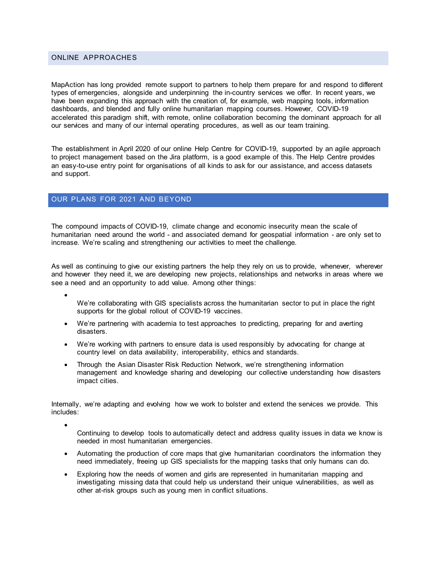### ONLINE APPROACHES

MapAction has long provided remote support to partners to help them prepare for and respond to different types of emergencies, alongside and underpinning the in-country services we offer. In recent years, we have been expanding this approach with the creation of, for example, web mapping tools, information dashboards, and blended and fully online humanitarian mapping courses. However, COVID-19 accelerated this paradigm shift, with remote, online collaboration becoming the dominant approach for all our services and many of our internal operating procedures, as well as our team training.

The establishment in April 2020 of our online Help Centre for COVID-19, supported by an agile approach to project management based on the Jira platform, is a good example of this. The Help Centre provides an easy-to-use entry point for organisations of all kinds to ask for our assistance, and access datasets and support.

### OUR PLANS FOR 2021 AND BEYOND

The compound impacts of COVID-19, climate change and economic insecurity mean the scale of humanitarian need around the world - and associated demand for geospatial information - are only set to increase. We're scaling and strengthening our activities to meet the challenge.

As well as continuing to give our existing partners the help they rely on us to provide, whenever, wherever and however they need it, we are developing new projects, relationships and networks in areas where we see a need and an opportunity to add value. Among other things:

- We're collaborating with GIS specialists across the humanitarian sector to put in place the right supports for the global rollout of COVID-19 vaccines.
- We're partnering with academia to test approaches to predicting, preparing for and averting disasters.
- We're working with partners to ensure data is used responsibly by advocating for change at country level on data availability, interoperability, ethics and standards.
- Through the Asian Disaster Risk Reduction Network, we're strengthening information management and knowledge sharing and developing our collective understanding how disasters impact cities.

Internally, we're adapting and evolving how we work to bolster and extend the services we provide. This includes:

- Continuing to develop tools to automatically detect and address quality issues in data we know is needed in most humanitarian emergencies.
- Automating the production of core maps that give humanitarian coordinators the information they need immediately, freeing up GIS specialists for the mapping tasks that only humans can do.
- Exploring how the needs of women and girls are represented in humanitarian mapping and investigating missing data that could help us understand their unique vulnerabilities, as well as other at-risk groups such as young men in conflict situations.